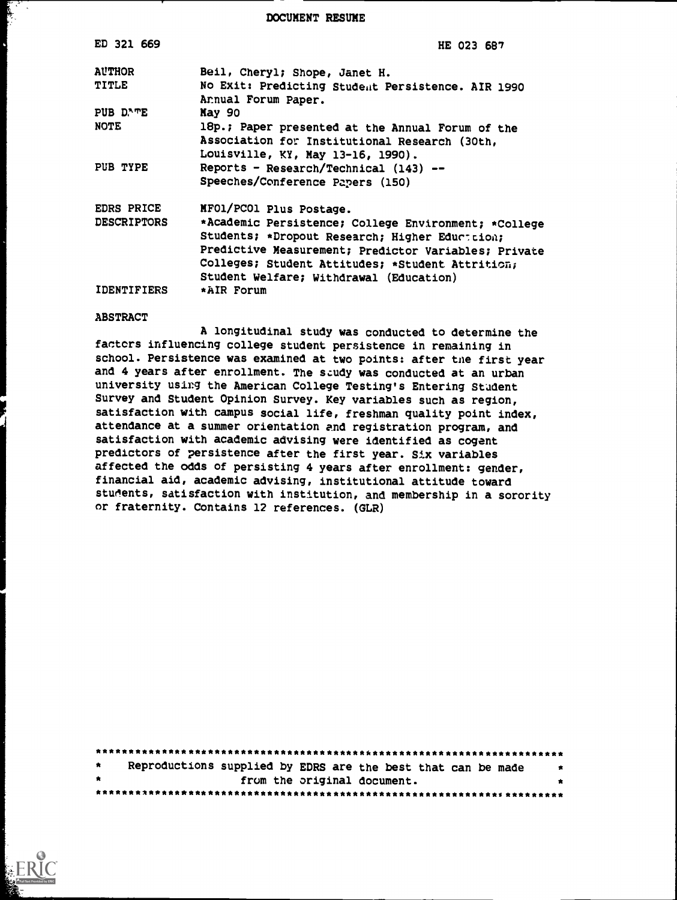DOCUMENT RESUME

| ED 321 669         | HE 023 687                                                                                                                                                                                                                                                    |
|--------------------|---------------------------------------------------------------------------------------------------------------------------------------------------------------------------------------------------------------------------------------------------------------|
| <b>AUTHOR</b>      | Beil, Cheryl; Shope, Janet H.                                                                                                                                                                                                                                 |
| <b>TITLE</b>       | No Exit: Predicting Student Persistence. AIR 1990<br>Annual Forum Paper.                                                                                                                                                                                      |
| PUB D'TE           | May 90                                                                                                                                                                                                                                                        |
| <b>NOTE</b>        | 18p.; Paper presented at the Annual Forum of the<br>Association for Institutional Research (30th,<br>Louisville, KY, May 13-16, 1990).                                                                                                                        |
| PUB TYPE           | Reports - Research/Technical (143) --<br>Speeches/Conference Papers (150)                                                                                                                                                                                     |
| <b>EDRS PRICE</b>  | MFO1/PCO1 Plus Postage.                                                                                                                                                                                                                                       |
| <b>DESCRIPTORS</b> | *Academic Persistence; College Environment; *College<br>Students; *Dropout Research; Higher Educteion;<br>Predictive Measurement; Predictor Variables; Private<br>Colleges; Student Attitudes; *Student Attrition;<br>Student Welfare; Withdrawal (Education) |
| <b>IDENTIFIERS</b> | *AIR Forum                                                                                                                                                                                                                                                    |

#### ABSTRACT

ن<br>استفادها<br>استفادها

A longitudinal study was conducted to determine the factors influencing college student persistence in remaining in school. Persistence was examined at two points: after tue first year and 4 years after enrollment. The study was conducted at an urban university using the American College Testing's Entering Student Survey and Student Opinion Survey. Key variables such as region, satisfaction with campus social life, freshman quality point index, attendance at a summer orientation and registration program, and satisfaction with academic advising were identified as cogent predictors of persistence after the first year. Six variables affected the odds of persisting 4 years after enrollment: gender, financial aid, academic advising, institutional attitude toward students, satisfaction with institution, and membership in a sorority or fraternity. Contains 12 references. (GLR)

| $\star$ | Reproductions supplied by EDRS are the best that can be made | 大 |  |  |  |  |  |  |
|---------|--------------------------------------------------------------|---|--|--|--|--|--|--|
| $\star$ | from the original document.                                  |   |  |  |  |  |  |  |
|         |                                                              |   |  |  |  |  |  |  |

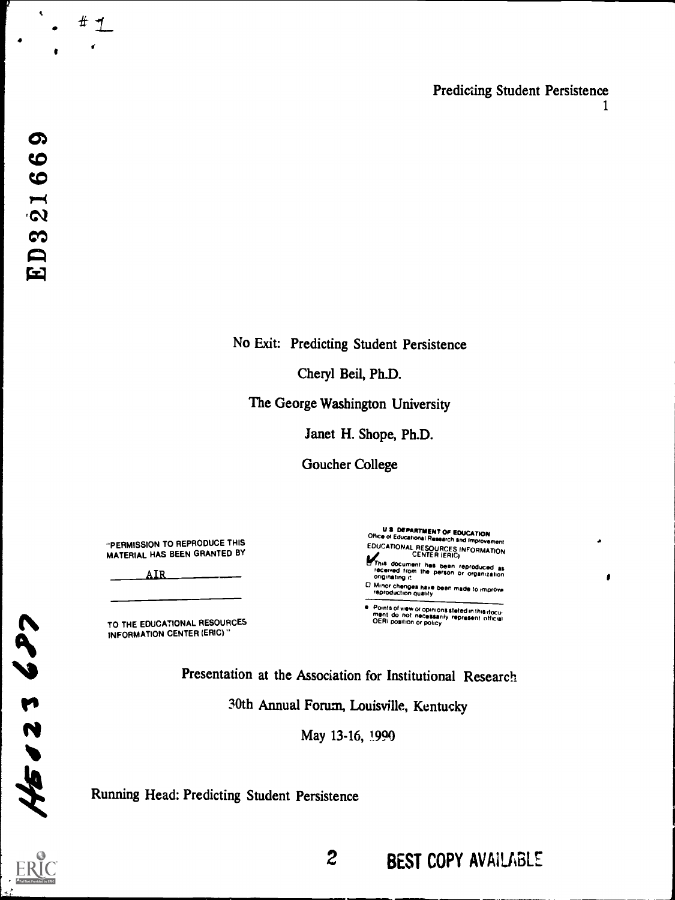Predicting Student Persistence 1

 $\blacktriangleleft$ 

 $# 1$ 

No Exit: Predicting Student Persistence

Cheryl Beil, Ph.D.

The George Washington University

Janet H. Shope, Ph.D.

Goucher College

"PERMISSION TO REPRODUCE THIS MATERIAL HAS BEEN GRANTED BY

AIR

TO THE EDUCATIONAL RESOURCES INFORMATION CENTER (ERIC)"

U **3 DEPARTMENT OF EDUCATION**<br>Office of Educational Research and Improvement **EDUCATIONAL RESOURCES INFORMATION<br>A** This document has been reproduced as<br>received from the person or organization<br>originating it 0 Minor changes have been made to improve reproduction Quality

 $\mathbf{r}$ 

e Points of view or opinions stated in this docu-<br>ment do not necessarily represent official<br>OERI position or policy

Presentation at the Association for Institutional Research

30th Annual Forum, Louisville, Kentucky

May 13-16, 1990

Running Head: Predicting Student Persistence



rs and the set of the set of the set of the set of the set of the set of the set of the set of the set of the <br>reduction of the set of the set of the set of the set of the set of the set of the set of the set of the set o

N

2 BEST COPY AVAILABLE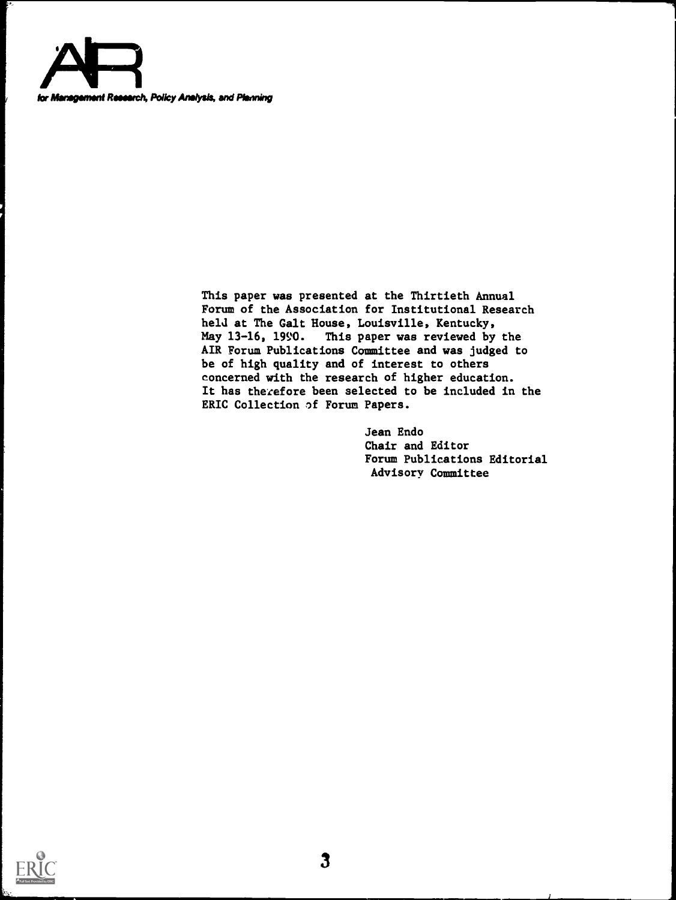

This paper was presented at the Thirtieth Annual Forum of the Association for Institutional Research held at The Galt House, Louisville, Kentucky,<br>May 13-16, 1990. This paper was reviewed by This paper was reviewed by the AIR Forum Publications Committee and was judged to be of high quality and of interest to others concerned with the research of higher education. It has therefore been selected to be included in the ERIC Collection of Forum Papers.

> Jean Endo Chair and Editor Forum Publications Editorial Advisory Committee

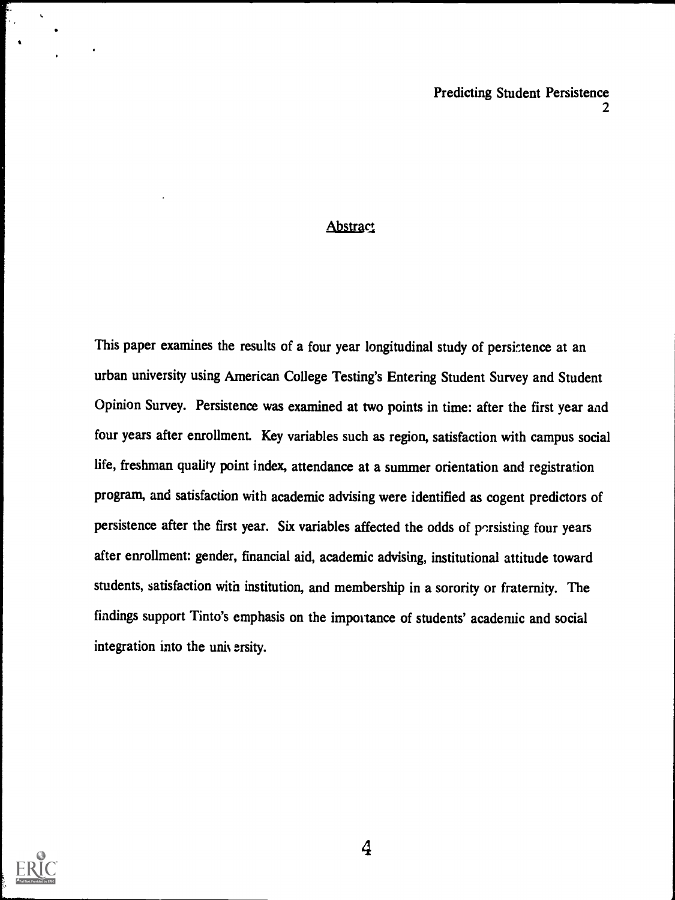### **Abstract**

This paper examines the results of a four year longitudinal study of persistence at an urban university using American College Testing's Entering Student Survey and Student Opinion Survey. Persistence was examined at two points in time: after the first year and four years after enrollment. Key variables such as region, satisfaction with campus social life, freshman quality point index, attendance at a summer orientation and registration program, and satisfaction with academic advising were identified as cogent predictors of persistence after the first year. Six variables affected the odds of porsisting four years after enrollment: gender, financial aid, academic advising, institutional attitude toward students, satisfaction with institution, and membership in a sorority or fraternity. The findings support Tinto's emphasis on the importance of students' academic and social integration into the university.

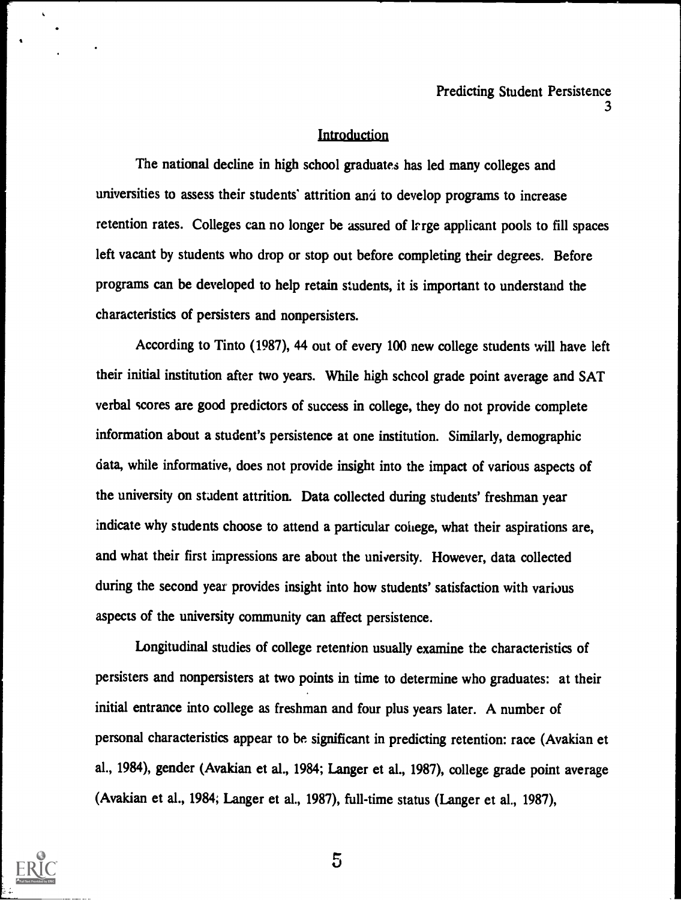#### Introduction

The national decline in high school graduates has led many colleges and universities to assess their students' attrition and to develop programs to increase retention rates. Colleges can no longer be assured of lrrge applicant pools to fill spaces left vacant by students who drop or stop out before completing their degrees. Before programs can be developed to help retain students, it is important to understand the characteristics of persisters and nonpersisters.

According to Tinto (1987), 44 out of every 100 new college students will have left their initial institution after two years. While high school grade point average and SAT verbal scores are good predictors of success in college, they do not provide complete information about a student's persistence at one institution. Similarly, demographic data, while informative, does not provide insight into the impact of various aspects of the university on stadent attrition. Data collected during students' freshman year indicate why students choose to attend a particular college, what their aspirations are, and what their first impressions are about the university. However, data collected during the second year provides insight into how students' satisfaction with various aspects of the university community can affect persistence.

Longitudinal studies of college retention usually examine the characteristics of persisters and nonpersisters at two points in time to determine who graduates: at their initial entrance into college as freshman and four plus years later. A number of personal characteristics appear to be significant in predicting retention: race (Avakian et al., 1984), gender (Avakian et al., 1984; Langer et al., 1987), college grade point average (Avakian et al., 1984; Langer et al., 1987), full-time status (Langer et al., 1987),

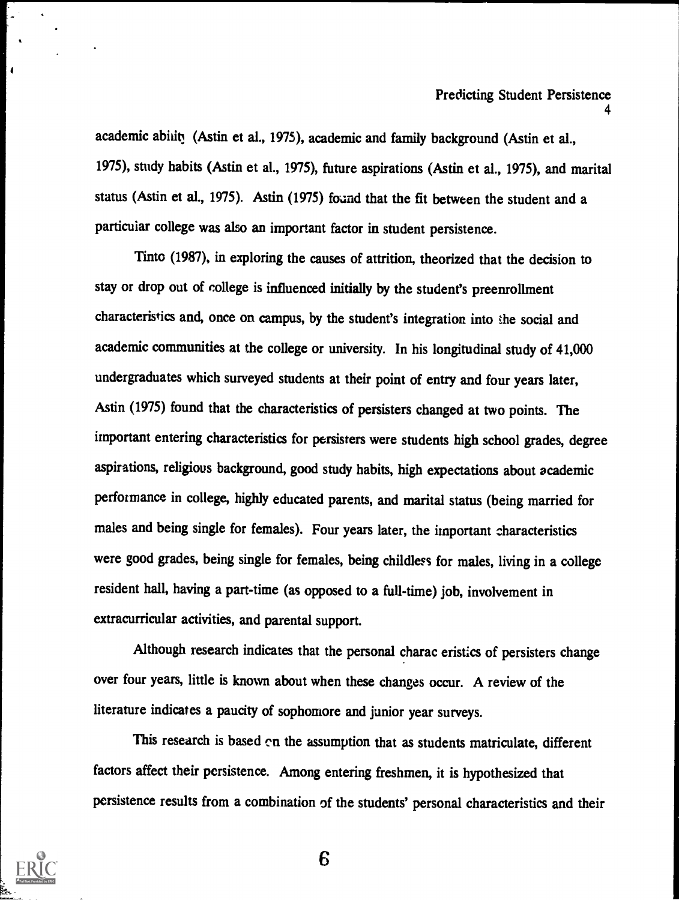academic ability (Astin et al., 1975), academic and family background (Astin et al., 1975), study habits (Astin et al., 1975), future aspirations (Astin et al., 1975), and marital status (Astin et al., 1975). Astin (1975) found that the fit between the student and a particular college was also an important factor in student persistence.

Tinto (1987), in exploring the causes of attrition, theorized that the decision to stay or drop out of college is influenced initially by the student's preenrollment characteristics and, once on campus, by the student's integration into the social and academic communities at the college or university. In his longitudinal study of 41,000 undergraduates which surveyed students at their point of entry and four years later, Astin (1975) found that the characteristics of persisters changed at two points. The important entering characteristics for persisters were students high school grades, degree aspirations, religious background, good study habits, high expectations about academic perfotmance in college, highly educated parents, and marital status (being married for males and being single for females). Four years later, the important characteristics were good grades, being single for females, being childless for males, living in a college resident hall, having a part-time (as opposed to a full-time) job, involvement in extracurricular activities, and parental support.

Although research indicates that the personal charac eristics of persisters change over four years, little is known about when these changes occur. A review of the literature indicates a paucity of sophomore and junior year surveys.

This research is based en the assumption that as students matriculate, different factors affect their persistence. Among entering freshmen, it is hypothesized that persistence results from a combination of the students' personal characteristics and their



 $\blacksquare$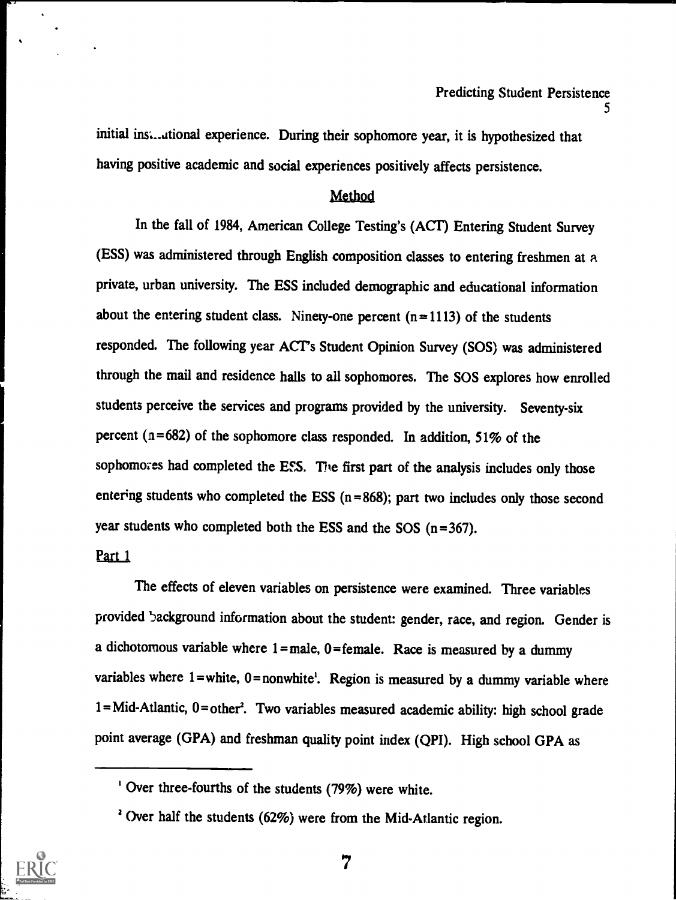initial instational experience. During their sophomore year, it is hypothesized that having positive academic and social experiences positively affects persistence.

# Method

In the fall of 1984, American College Testing's (ACT) Entering Student Survey (ESS) was administered through English composition classes to entering freshmen at a private, urban university. The ESS included demographic and educational information about the entering student class. Ninety-one percent  $(n=1113)$  of the students responded. The following year ACT's Student Opinion Survey (SOS) was administered through the mail and residence halls to all sophomores. The SOS explores how enrolled students perceive the services and programs provided by the university. Seventy-six percent ( $n=682$ ) of the sophomore class responded. In addition, 51% of the sophomores had completed the ESS. The first part of the analysis includes only those entering students who completed the ESS  $(n=868)$ ; part two includes only those second year students who completed both the ESS and the SOS (n=367).

### Part 1

The effects of eleven variables on persistence were examined. Three variables provided 5ackground information about the student: gender, race, and region. Gender is a dichotomous variable where  $1 =$  male,  $0 =$  female. Race is measured by a dummy variables where  $1$ = white,  $0$ = nonwhite<sup>1</sup>. Region is measured by a dummy variable where 1= Mid-Atlantic, 0= other'. Two variables measured academic ability: high school grade point average (GPA) and freshman quality point index (QPI). High school GPA as



<sup>&#</sup>x27; Over three-fourths of the students (79%) were white.

<sup>&</sup>lt;sup>2</sup> Over half the students (62%) were from the Mid-Atlantic region.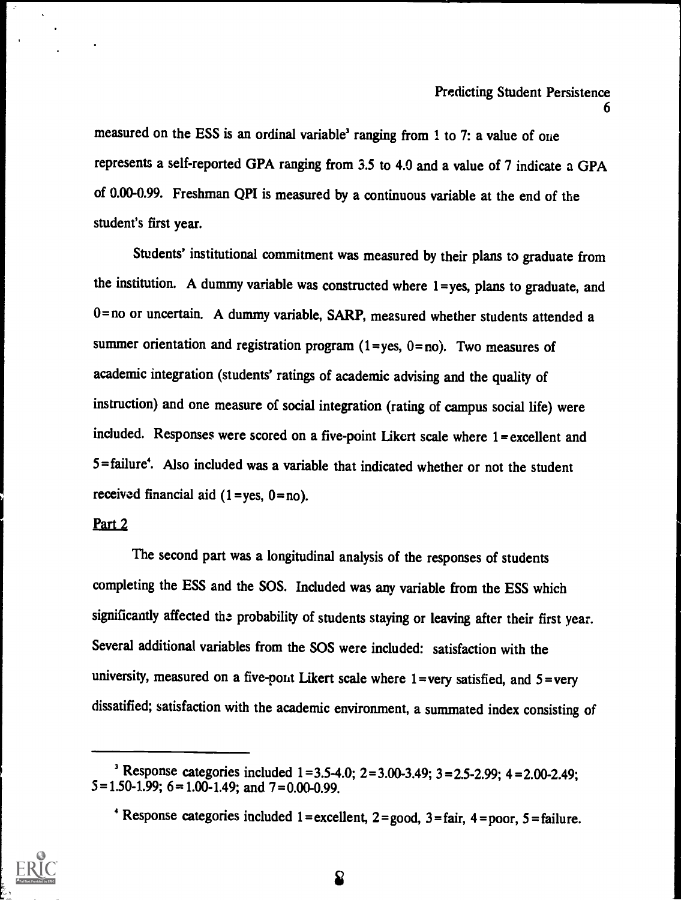measured on the ESS is an ordinal variable' ranging from 1 to 7: a value of one represents a self-reported GPA ranging from 3.5 to 4.0 and a value of 7 indicate a GPA of 0.00-0.99. Freshman QPI is measured by a continuous variable at the end of the student's first year.

Students' institutional commitment was measured by their plans to graduate from the institution. A dummy variable was constructed where 1=yes, plans to graduate, and 0= no or uncertain. A dummy variable, SARP, measured whether students attended a summer orientation and registration program  $(1 = yes, 0 = no)$ . Two measures of academic integration (students' ratings of academic advising and the quality of instruction) and one measure of social integration (rating of campus social life) were included. Responses were scored on a five-point Likert scale where 1= excellent and 5= failure'. Also included was a variable that indicated whether or not the student received financial aid  $(1 = yes, 0 = no)$ .

# Part 2

The second part was a longitudinal analysis of the responses of students completing the ESS and the SOS. Included was any variable from the ESS which significantly affected the probability of students staying or leaving after their first year. Several additional variables from the SOS were included: satisfaction with the university, measured on a five-pont Likert scale where  $1$  =very satisfied, and  $5$  =very dissatified; satisfaction with the academic environment, a summated index consisting of



<sup>&</sup>lt;sup>3</sup> Response categories included  $1 = 3.5 - 4.0$ ;  $2 = 3.00 - 3.49$ ;  $3 = 2.5 - 2.99$ ;  $4 = 2.00 - 2.49$ ;  $5=1.50-1.99$ ;  $6=1.00-1.49$ ; and  $7=0.00-0.99$ .

 $4$  Response categories included 1 = excellent, 2 = good, 3 = fair, 4 = poor, 5 = failure.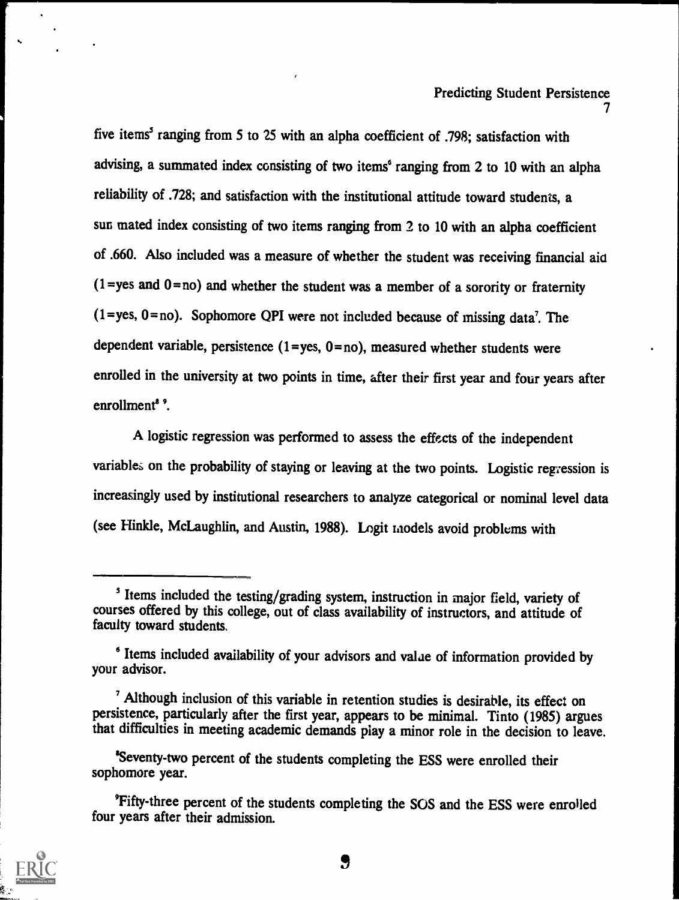five items' ranging from 5 to 25 with an alpha coefficient of .798; satisfaction with advising, a summated index consisting of two items' ranging from 2 to 10 with an alpha reliability of .728; and satisfaction with the institutional attitude toward students, a sun mated index consisting of two items ranging from 2 to 10 with an alpha coefficient of .660. Also included was a measure of whether the student was receiving financial aid  $(1 = yes and 0 = no)$  and whether the student was a member of a sorority or fraternity  $(1 = yes, 0 = no)$ . Sophomore QPI were not included because of missing data<sup>7</sup>. The dependent variable, persistence  $(1 = yes, 0 = no)$ , measured whether students were enrolled in the university at two points in time, after their first year and four years after enrollment<sup>8</sup>.

A logistic regression was performed to assess the effects of the independent variables on the probability of staying or leaving at the two points. Logistic regression is increasingly used by institutional researchers to analyze categorical or nominal level data (see Hinkle, McLaughlin, and Austin, 1988). Legit models avoid problems with

<sup>&#</sup>x27;Fifty-three percent of the students completing the SOS and the ESS were enrolled four years after their admission.



<sup>&</sup>lt;sup>5</sup> Items included the testing/grading system, instruction in major field, variety of courses offered by this college, out of class availability of instructors, and attitude of faculty toward students.

<sup>6</sup> Items included availability of your advisors and valae of information provided by your advisor.

Although inclusion of this variable in retention studies is desirable, its effect on persistence, particularly after the first year, appears to be minimal. Tinto (1985) argues that difficulties in meeting academic demands play a minor role in the decision to leave.

<sup>&#</sup>x27;Seventy-two percent of the students completing the ESS were enrolled their sophomore year.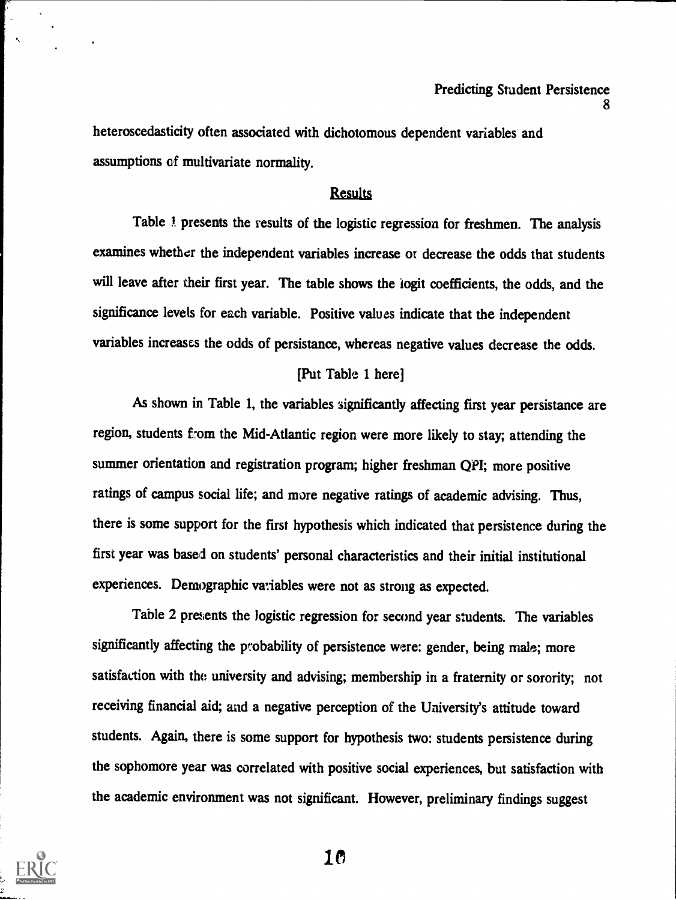heteroscedasticity often associated with dichotomous dependent variables and assumptions of multivariate normality.

### Results

Table 1 presents the results of the logistic regression for freshmen. The analysis examines whether the independent variables increase or decrease the odds that students will leave after their first year. The table shows the iogit coefficients, the odds, and the significance levels for each variable. Positive values indicate that the independent variables increases the odds of persistance, whereas negative values decrease the odds.

### [Put Table 1 here]

As shown in Table 1, the variables significantly affecting first year persistance are region, students from the Mid-Atlantic region were more likely to stay; attending the summer orientation and registration program; higher freshman QPI; more positive ratings of campus social life; and more negative ratings of academic advising. Thus, there is some support for the first hypothesis which indicated that persistence during the first year was based on students' personal characteristics and their initial institutional experiences. Demographic variables were not as strong as expected.

Table 2 presents the logistic regression for second year students. The variables significantly affecting the probability of persistence were: gender, being male; more satisfaction with the university and advising; membership in a fraternity or sorority; not receiving financial aid; and a negative perception of the University's attitude toward students. Again, there is some support for hypothesis two: students persistence during the sophomore year was correlated with positive social experiences, but satisfaction with the academic environment was not significant. However, preliminary findings suggest

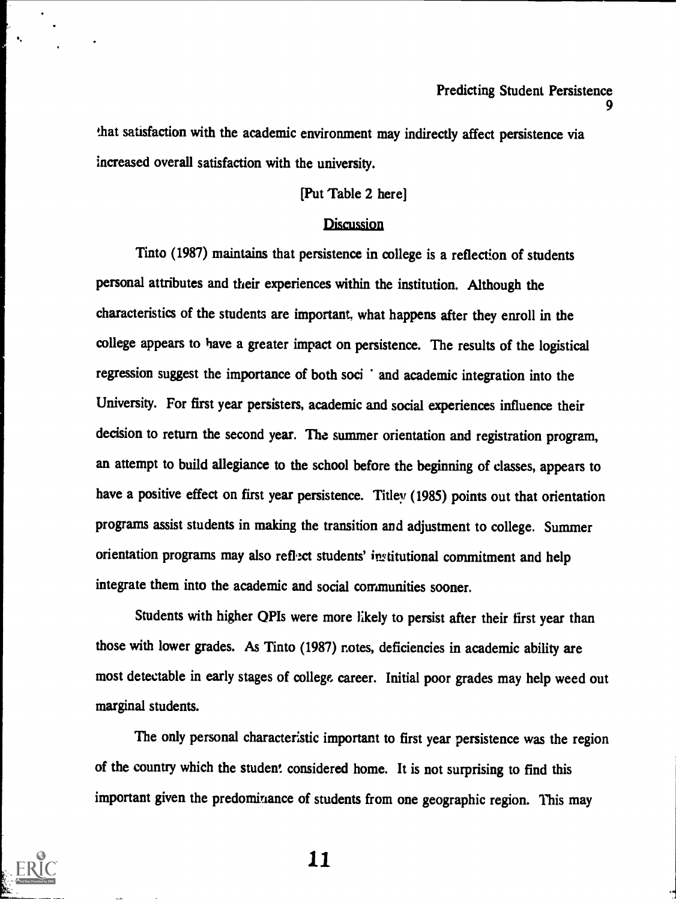that satisfaction with the academic environment may indirectly affect persistence via increased overall satisfaction with the university.

# [Put Table 2 here]

#### **Discussion**

Tinto (1987) maintains that persistence in college is a reflection of students personal attributes and their experiences within the institution. Although the characteristics of the students are important, what happens after they enroll in the college appears to have a greater impact on persistence. The results of the logistical regression suggest the importance of both soci ' and academic integration into the University. For first year persisters, academic and social experiences influence their decision to return the second year. The summer orientation and registration program, an attempt to build allegiance to the school before the beginning of classes, appears to have a positive effect on first year persistence. Tilley (1985) points out that orientation programs assist students in making the transition and adjustment to college. Summer orientation programs may also reflect students' institutional commitment and help integrate them into the academic and social communities sooner.

Students with higher QPIs were more likely to persist after their first year than those with lower grades. As Tinto (1987) rotes, deficiencies in academic ability are most detectable in early stages of college career. Initial poor grades may help weed out marginal students.

The only personal characteristic important to first year persistence was the region of the country which the student considered home. It is not surprising to find this important given the predominance of students from one geographic region. This may

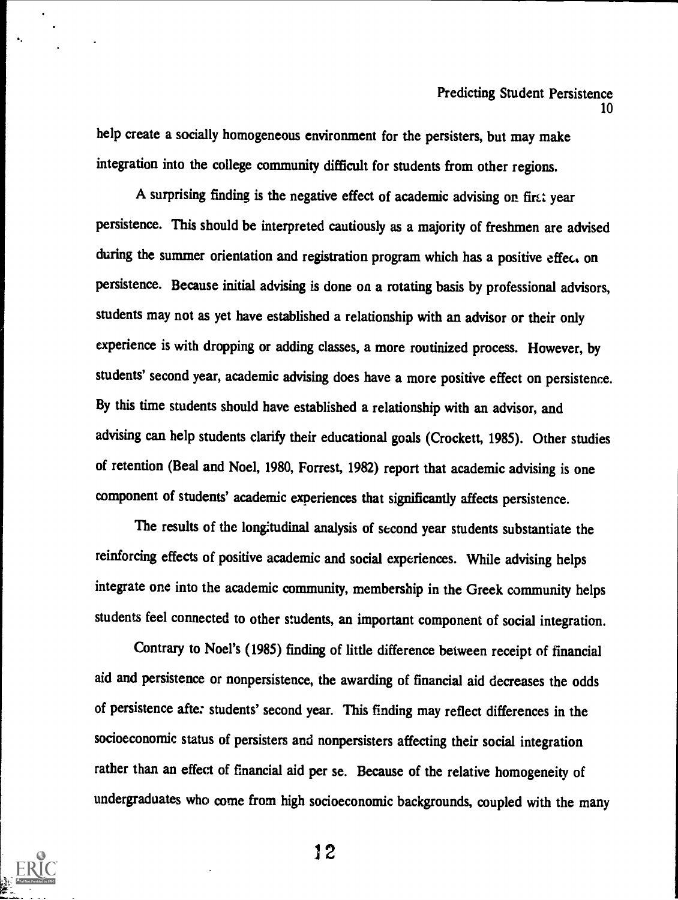help create a socially homogeneous environment for the persisters, but may make integration into the college community difficult for students from other regions.

A surprising finding is the negative effect of academic advising on first year persistence. This should be interpreted cautiously as a majority of freshmen are advised during the summer orientation and registration program which has a positive effect on persistence. Because initial advising is done on a rotating basis by professional advisors, students may not as yet have established a relationship with an advisor or their only experience is with dropping or adding classes, a more routinized process. However, by students' second year, academic advising does have a more positive effect on persistence. By this time students should have established a relationship with an advisor, and advising can help students clarify their educational goals (Crockett, 1985). Other studies of retention (Beal and Noel, 1980, Forrest, 1982) report that academic advising is one component of students' academic experiences that significantly affects persistence.

The results of the longitudinal analysis of second year students substantiate the reinforcing effects of positive academic and social experiences. While advising helps integrate one into the academic community, membership in the Greek community helps students feel connected to other students, an important component of social integration.

Contrary to Noel's (1985) finding of little difference between receipt of financial aid and persistence or nonpersistence, the awarding of financial aid decreases the odds of persistence after students' second year. This finding may reflect differences in the socioeconomic status of persisters and nonpersisters affecting their social integration rather than an effect of financial aid per se. Because of the relative homogeneity of undergraduates who come from high socioeconomic backgrounds, coupled with the many



i2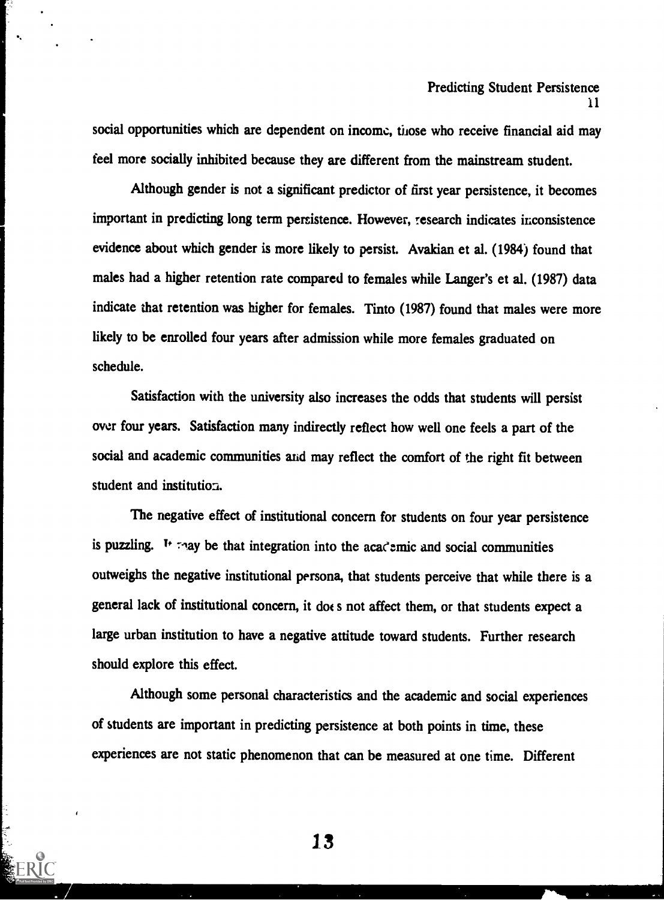social opportunities which are dependent on income, those who receive financial aid may feel more socially inhibited because they are different from the mainstream student.

Although gender is not a significant predictor of first year persistence, it becomes important in predicting long term persistence. However, research indicates inconsistence evidence about which gender is more likely to persist. Avakian et al. (1984) found that males had a higher retention rate compared to females while Langer's et al. (1987) data indicate that retention was higher for females. Tinto (1987) found that males were more likely to be enrolled four years after admission while more females graduated on schedule.

Satisfaction with the university also increases the odds that students will persist over four years. Satisfaction many indirectly reflect how well one feels a part of the social and academic communities and may reflect the comfort of the right fit between student and institution.

The negative effect of institutional concern for students on four year persistence is puzzling. It they be that integration into the academic and social communities outweighs the negative institutional persona, that students perceive that while there is a general lack of institutional concern, it does not affect them, or that students expect a large urban institution to have a negative attitude toward students. Further research should explore this effect.

Although some personal characteristics and the academic and social experiences of students are important in predicting persistence at both points in time, these experiences are not static phenomenon that can be measured at one time. Different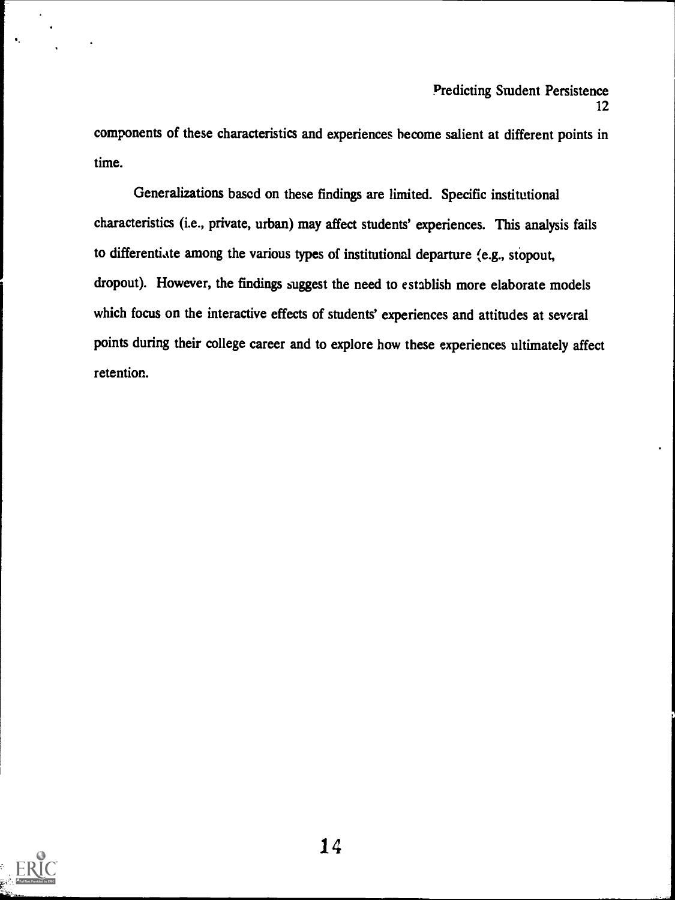components of these characteristics and experiences become salient at different points in time.

Generalizations based on these findings are limited. Specific institutional characteristics (i.e., private, urban) may affect students' experiences. This analysis fails to differentiate among the various types of institutional departure (e.g., stopout, dropout). However, the findings suggest the need to establish more elaborate models which focus on the interactive effects of students' experiences and attitudes at several points during their college career and to explore how these experiences ultimately affect retention.

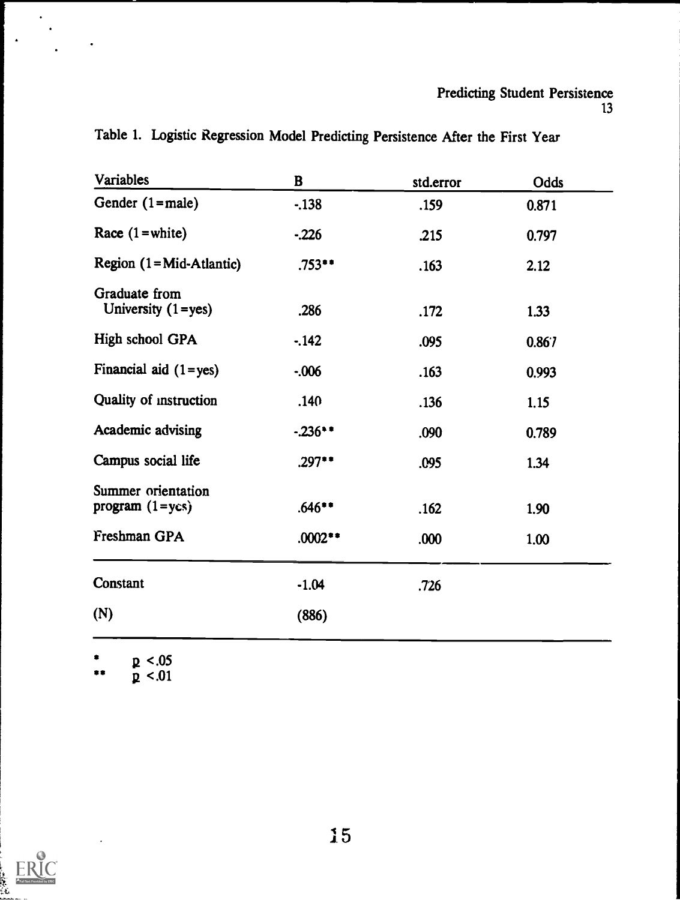### Predicting Student Persistence 13

| Variables                                           | $\bf{B}$  | std.error | Odds  |  |
|-----------------------------------------------------|-----------|-----------|-------|--|
| Gender $(1 = male)$                                 | $-138$    | .159      | 0.871 |  |
| Race $(1 = white)$                                  | $-226$    | .215      | 0.797 |  |
| Region $(1 = Mid-Atlantic)$                         | $.753**$  | .163      | 2.12  |  |
| Graduate from<br>University $(1 = yes)$             | .286      | .172      | 1.33  |  |
| High school GPA                                     | $-142$    | .095      | 0.867 |  |
| Financial aid $(1 = yes)$                           | $-0.006$  | .163      | 0.993 |  |
| Quality of instruction                              | .140      | .136      | 1.15  |  |
| Academic advising                                   | $-236$ ** | .090      | 0.789 |  |
| Campus social life                                  | $.297**$  | .095      | 1.34  |  |
| <b>Summer</b> orientation<br>program $(1 = y \cos)$ | $.646**$  | .162      | 1.90  |  |
| Freshman GPA                                        | $.0002**$ | .000      | 1.00  |  |
| Constant                                            | $-1.04$   | .726      |       |  |
| (N)                                                 | (886)     |           |       |  |
|                                                     |           |           |       |  |

Table 1. Logistic Regression Model Predicting Persistence After the First Year

\*\* p <.05<br>p <.01

 $\ddot{\phantom{a}}$ 



 $\bullet$ 

 $\ddot{\phantom{0}}$ 

 $\mathbb{R}^2$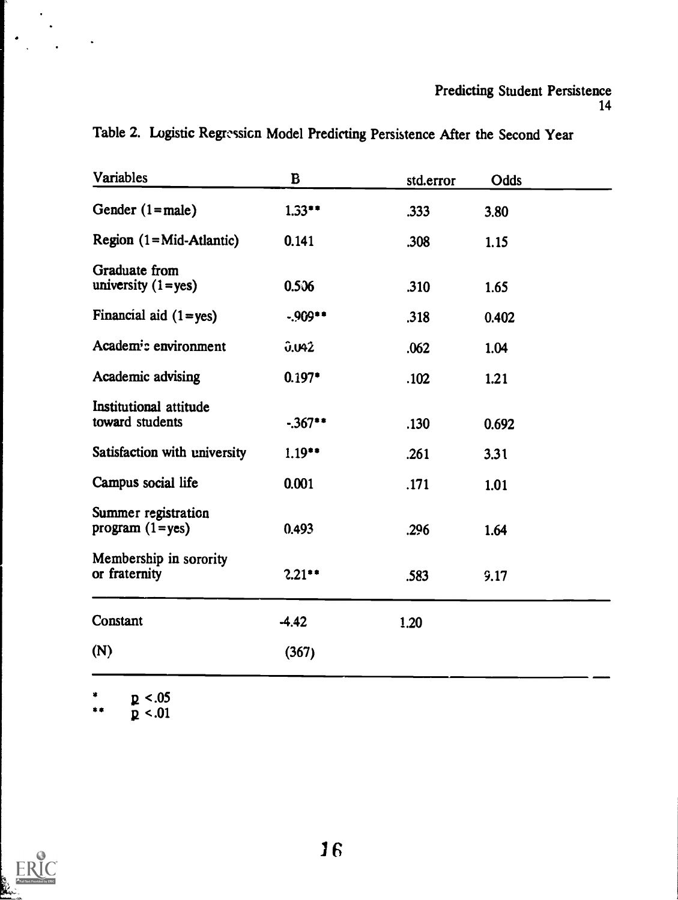# Predicting Student Persistence 14

| Variables                                  | B           | std.error | Odds  |  |
|--------------------------------------------|-------------|-----------|-------|--|
| Gender $(1 = male)$                        | $1.33**$    | .333      | 3.80  |  |
| Region $(1 = Mid-Atlantic)$                | 0.141       | .308      | 1.15  |  |
| Graduate from<br>university $(1 = yes)$    | 0.506       | .310      | 1.65  |  |
| Financial aid $(1 = yes)$                  | $-909**$    | .318      | 0.402 |  |
| Academ <sup>i</sup> : environment          | 0.042       | .062      | 1.04  |  |
| Academic advising                          | $0.197*$    | .102      | 1.21  |  |
| Institutional attitude<br>toward students  | $-0.367$ ** | .130      | 0.692 |  |
| Satisfaction with university               | $1.19**$    | .261      | 3.31  |  |
| Campus social life                         | 0.001       | .171      | 1.01  |  |
| Summer registration<br>program $(1 = yes)$ | 0.493       | .296      | 1.64  |  |
| Membership in sorority<br>or fraternity    | 2.21        | .583      | 9.17  |  |
| Constant                                   | $-4.42$     | 1.20      |       |  |
| (N)                                        | (367)       |           |       |  |
|                                            |             |           |       |  |

Table 2. Logistic Regression Model Predicting Persistence After the Second Year

\*  $p < .05$ \*\*  $p < .01$ 



 $\ddot{\cdot}$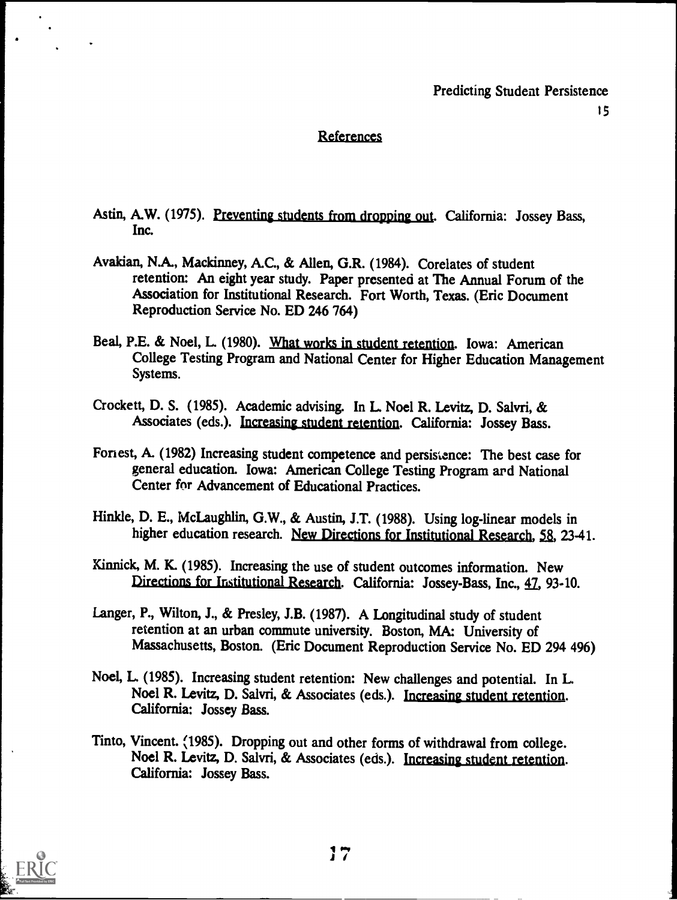# References

- Astin, A.W. (1975). Preventing students from dropping out. California: Jossey Bass, Inc.
- Avakian, N.A., Mackinney, A.C., & Allen, G.R. (1984). Corelates of student retention: An eight year study. Paper presented at The Annual Forum of the Association for Institutional Research. Fort Worth, Texas. (Eric Document Reproduction Service No. ED 246 764)
- Beal, P.E. & Noel, L (1980). What works in student retention. Iowa: American College Testing Program and National Center for Higher Education Management Systems.
- Crockett, D. S. (1985). Academic advising. In L Noel R. Levitz, D. Salvri, & Associates (eds.). Increasing student retention. California: Jossey Bass.
- Foriest, A. (1982) Increasing student competence and persistence: The best case for general education. Iowa: American College Testing Program and National Center for Advancement of Educational Practices.
- Hinkle, D. E., McLaughlin, G.W., & Austin, J.T. (1988). Using log-linear models in higher education research. New Directions for Institutional Research, 58, 23-41.
- Kinnick, M. K. (1985). Increasing the use of student outcomes information. New Directions for Institutional Research. California: Jossey-Bass, Inc., 47, 93-10.
- Langer, P., Wilton, J., & Presley, J.B. (1987). A Longitudinal study of student retention at an urban commute university. Boston, MA: University of Massachusetts, Boston. (Eric Document Reproduction Service No. ED 294 496)
- Noel, L (1985). Increasing student retention: New challenges and potential. In L. Noel R. Levitz, D. Salvri, & Associates (eds.). Increasing student retention. California: Jossey Bass.
- Tinto, Vincent. (1985). Dropping out and other forms of withdrawal from college. Noel R. Levitz, D. Salvri, & Associates (eds.). Increasing student retention. California: Jossey Bass.